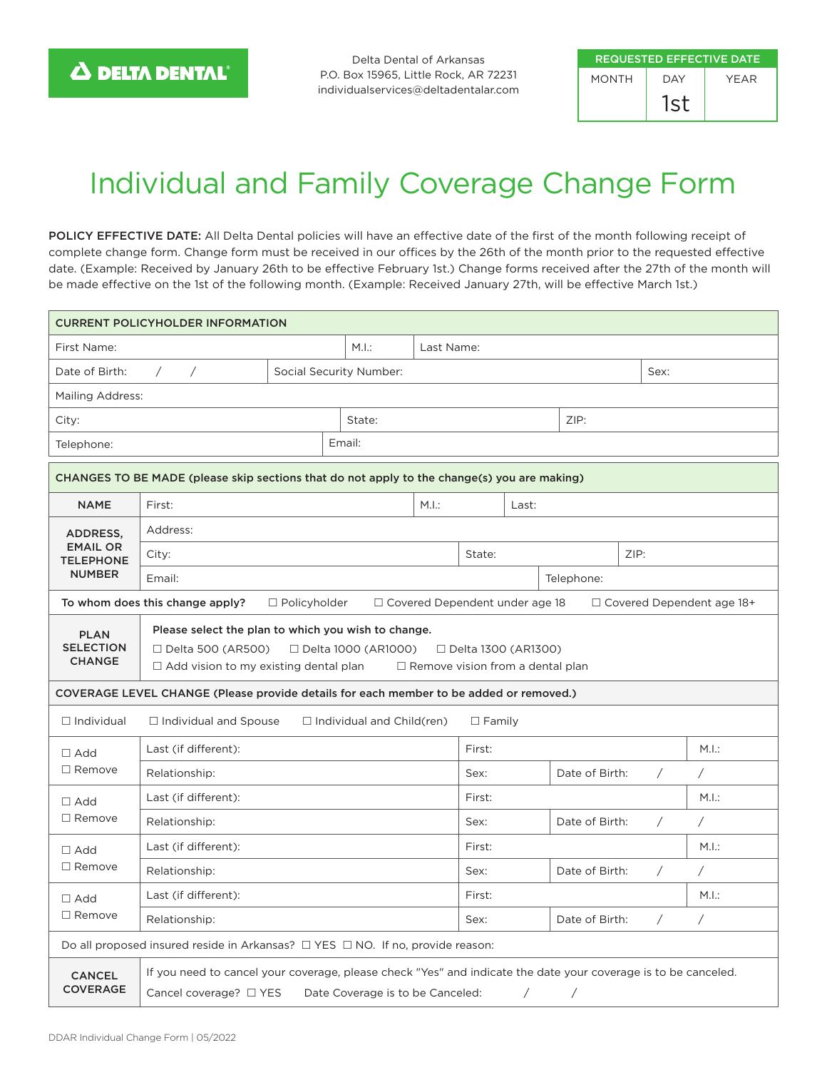Delta Dental of Arkansas P.O. Box 15965, Little Rock, AR 72231 individualservices@deltadentalar.com

| <b>REQUESTED EFFECTIVE DATE</b> |     |      |  |  |  |  |  |
|---------------------------------|-----|------|--|--|--|--|--|
| <b>MONTH</b>                    | DAY | YFAR |  |  |  |  |  |
|                                 | 1st |      |  |  |  |  |  |

## Individual and Family Coverage Change Form

POLICY EFFECTIVE DATE: All Delta Dental policies will have an effective date of the first of the month following receipt of complete change form. Change form must be received in our offices by the 26th of the month prior to the requested effective date. (Example: Received by January 26th to be effective February 1st.) Change forms received after the 27th of the month will be made effective on the 1st of the following month. (Example: Received January 27th, will be effective March 1st.)

| <b>CURRENT POLICYHOLDER INFORMATION</b>                                                                                                                                                                                                                                          |                                                                                                                |                     |                         |        |        |                                       |                              |  |            |                                  |
|----------------------------------------------------------------------------------------------------------------------------------------------------------------------------------------------------------------------------------------------------------------------------------|----------------------------------------------------------------------------------------------------------------|---------------------|-------------------------|--------|--------|---------------------------------------|------------------------------|--|------------|----------------------------------|
| First Name:                                                                                                                                                                                                                                                                      | M.I.:<br>Last Name:                                                                                            |                     |                         |        |        |                                       |                              |  |            |                                  |
| Date of Birth:                                                                                                                                                                                                                                                                   | $\sqrt{2}$<br>$\sqrt{2}$                                                                                       |                     | Social Security Number: |        | Sex:   |                                       |                              |  |            |                                  |
| Mailing Address:                                                                                                                                                                                                                                                                 |                                                                                                                |                     |                         |        |        |                                       |                              |  |            |                                  |
| City:                                                                                                                                                                                                                                                                            |                                                                                                                |                     | State:                  |        |        | ZIP:                                  |                              |  |            |                                  |
| Telephone:                                                                                                                                                                                                                                                                       |                                                                                                                | Email:              |                         |        |        |                                       |                              |  |            |                                  |
|                                                                                                                                                                                                                                                                                  | CHANGES TO BE MADE (please skip sections that do not apply to the change(s) you are making)                    |                     |                         |        |        |                                       |                              |  |            |                                  |
| <b>NAME</b>                                                                                                                                                                                                                                                                      | M.I.:<br>First:                                                                                                |                     |                         |        | Last:  |                                       |                              |  |            |                                  |
| ADDRESS,                                                                                                                                                                                                                                                                         | Address:                                                                                                       |                     |                         |        |        |                                       |                              |  |            |                                  |
| <b>EMAIL OR</b><br><b>TELEPHONE</b>                                                                                                                                                                                                                                              | City:                                                                                                          |                     |                         |        | State: |                                       | ZIP:                         |  |            |                                  |
| <b>NUMBER</b><br>Email:                                                                                                                                                                                                                                                          |                                                                                                                |                     |                         |        |        |                                       | Telephone:                   |  |            |                                  |
|                                                                                                                                                                                                                                                                                  | To whom does this change apply?                                                                                | $\Box$ Policyholder |                         |        |        | $\Box$ Covered Dependent under age 18 |                              |  |            | $\Box$ Covered Dependent age 18+ |
| Please select the plan to which you wish to change.<br><b>PLAN</b><br><b>SELECTION</b><br>$\Box$ Delta 500 (AR500)<br>□ Delta 1000 (AR1000)<br>□ Delta 1300 (AR1300)<br><b>CHANGE</b><br>$\Box$ Add vision to my existing dental plan<br>$\Box$ Remove vision from a dental plan |                                                                                                                |                     |                         |        |        |                                       |                              |  |            |                                  |
| COVERAGE LEVEL CHANGE (Please provide details for each member to be added or removed.)<br>$\Box$ Individual<br>$\Box$ Individual and Spouse<br>$\Box$ Individual and Child(ren)<br>$\Box$ Family                                                                                 |                                                                                                                |                     |                         |        |        |                                       |                              |  |            |                                  |
| $\Box$ Add                                                                                                                                                                                                                                                                       | Last (if different):                                                                                           |                     |                         | First: |        |                                       | M.I.:                        |  |            |                                  |
| $\Box$ Remove                                                                                                                                                                                                                                                                    | Relationship:                                                                                                  |                     |                         |        | Sex:   |                                       | Date of Birth:<br>$\sqrt{2}$ |  |            | Γ                                |
| $\Box$ Add                                                                                                                                                                                                                                                                       | Last (if different):                                                                                           |                     |                         |        | First: |                                       |                              |  | M.I.:      |                                  |
| $\Box$ Remove                                                                                                                                                                                                                                                                    | Relationship:                                                                                                  |                     |                         | Sex:   |        | Date of Birth:<br>$\sqrt{2}$          |                              |  | Ϊ          |                                  |
| $\Box$ Add                                                                                                                                                                                                                                                                       | Last (if different):                                                                                           |                     |                         | First: |        |                                       | M.I.:                        |  |            |                                  |
| $\Box$ Remove<br>Relationship:                                                                                                                                                                                                                                                   |                                                                                                                |                     |                         |        | Sex:   | Date of Birth:                        |                              |  | Τ          | Τ                                |
| $\Box$ Add<br>$\Box$ Remove                                                                                                                                                                                                                                                      | Last (if different):                                                                                           |                     |                         |        | First: |                                       |                              |  |            | M.I.:                            |
|                                                                                                                                                                                                                                                                                  | Relationship:                                                                                                  |                     |                         |        | Sex:   |                                       | Date of Birth:               |  | $\sqrt{2}$ | Τ                                |
| Do all proposed insured reside in Arkansas? $\Box$ YES $\Box$ NO. If no, provide reason:                                                                                                                                                                                         |                                                                                                                |                     |                         |        |        |                                       |                              |  |            |                                  |
| <b>CANCEL</b>                                                                                                                                                                                                                                                                    | If you need to cancel your coverage, please check "Yes" and indicate the date your coverage is to be canceled. |                     |                         |        |        |                                       |                              |  |            |                                  |
| <b>COVERAGE</b>                                                                                                                                                                                                                                                                  | Cancel coverage? $\Box$ YES<br>Date Coverage is to be Canceled:<br>Ϊ                                           |                     |                         |        |        |                                       |                              |  |            |                                  |